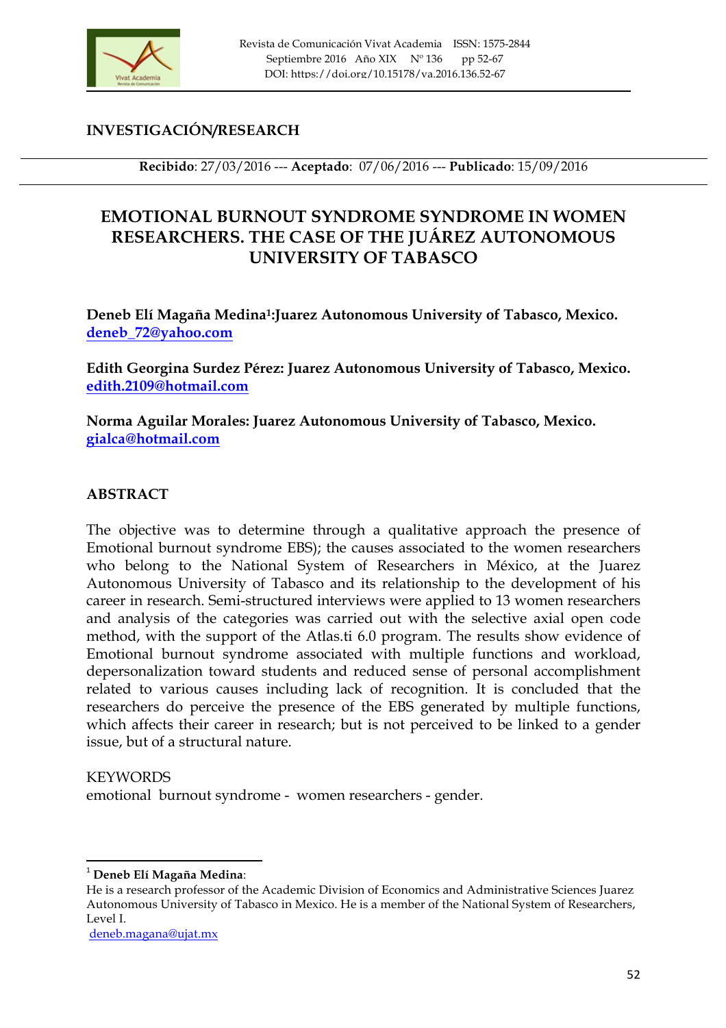

## **INVESTIGACIÓN/RESEARCH**

**Recibido**: 27/03/2016 --- **Aceptado**: 07/06/2016 --- **Publicado**: 15/09/2016

## **EMOTIONAL BURNOUT SYNDROME SYNDROME IN WOMEN RESEARCHERS. THE CASE OF THE JUÁREZ AUTONOMOUS UNIVERSITY OF TABASCO**

**Deneb Elí Magaña Medina1:Juarez Autonomous University of Tabasco, Mexico. deneb\_72@yahoo.com**

**Edith Georgina Surdez Pérez: Juarez Autonomous University of Tabasco, Mexico. edith.2109@hotmail.com**

**Norma Aguilar Morales: Juarez Autonomous University of Tabasco, Mexico. gialca@hotmail.com**

#### **ABSTRACT**

The objective was to determine through a qualitative approach the presence of Emotional burnout syndrome EBS); the causes associated to the women researchers who belong to the National System of Researchers in México, at the Juarez Autonomous University of Tabasco and its relationship to the development of his career in research. Semi-structured interviews were applied to 13 women researchers and analysis of the categories was carried out with the selective axial open code method, with the support of the Atlas.ti 6.0 program. The results show evidence of Emotional burnout syndrome associated with multiple functions and workload, depersonalization toward students and reduced sense of personal accomplishment related to various causes including lack of recognition. It is concluded that the researchers do perceive the presence of the EBS generated by multiple functions, which affects their career in research; but is not perceived to be linked to a gender issue, but of a structural nature.

#### **KEYWORDS**

emotional burnout syndrome - women researchers - gender.

deneb.magana@ujat.mx

 <sup>1</sup> **Deneb Elí Magaña Medina**:

He is a research professor of the Academic Division of Economics and Administrative Sciences Juarez Autonomous University of Tabasco in Mexico. He is a member of the National System of Researchers, Level I.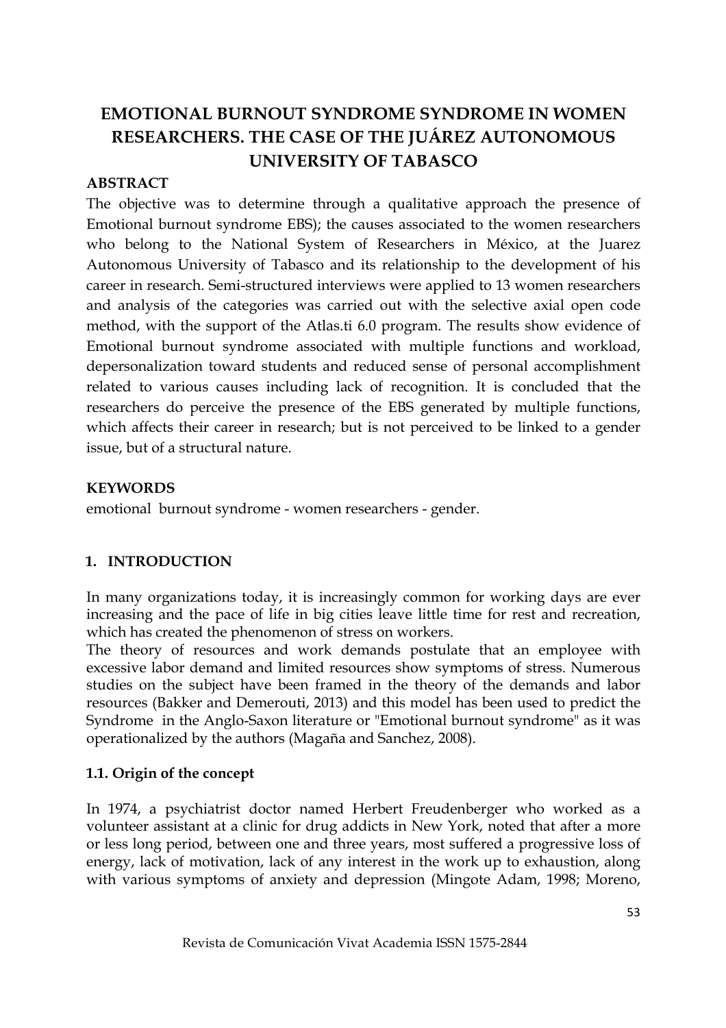# **EMOTIONAL BURNOUT SYNDROME SYNDROME IN WOMEN RESEARCHERS. THE CASE OF THE JUÁREZ AUTONOMOUS UNIVERSITY OF TABASCO**

#### **ABSTRACT**

The objective was to determine through a qualitative approach the presence of Emotional burnout syndrome EBS); the causes associated to the women researchers who belong to the National System of Researchers in México, at the Juarez Autonomous University of Tabasco and its relationship to the development of his career in research. Semi-structured interviews were applied to 13 women researchers and analysis of the categories was carried out with the selective axial open code method, with the support of the Atlas.ti 6.0 program. The results show evidence of Emotional burnout syndrome associated with multiple functions and workload, depersonalization toward students and reduced sense of personal accomplishment related to various causes including lack of recognition. It is concluded that the researchers do perceive the presence of the EBS generated by multiple functions, which affects their career in research; but is not perceived to be linked to a gender issue, but of a structural nature.

#### **KEYWORDS**

emotional burnout syndrome - women researchers - gender.

## **1. INTRODUCTION**

In many organizations today, it is increasingly common for working days are ever increasing and the pace of life in big cities leave little time for rest and recreation, which has created the phenomenon of stress on workers.

The theory of resources and work demands postulate that an employee with excessive labor demand and limited resources show symptoms of stress. Numerous studies on the subject have been framed in the theory of the demands and labor resources (Bakker and Demerouti, 2013) and this model has been used to predict the Syndrome in the Anglo-Saxon literature or "Emotional burnout syndrome" as it was operationalized by the authors (Magaña and Sanchez, 2008).

## **1.1. Origin of the concept**

In 1974, a psychiatrist doctor named Herbert Freudenberger who worked as a volunteer assistant at a clinic for drug addicts in New York, noted that after a more or less long period, between one and three years, most suffered a progressive loss of energy, lack of motivation, lack of any interest in the work up to exhaustion, along with various symptoms of anxiety and depression (Mingote Adam, 1998; Moreno,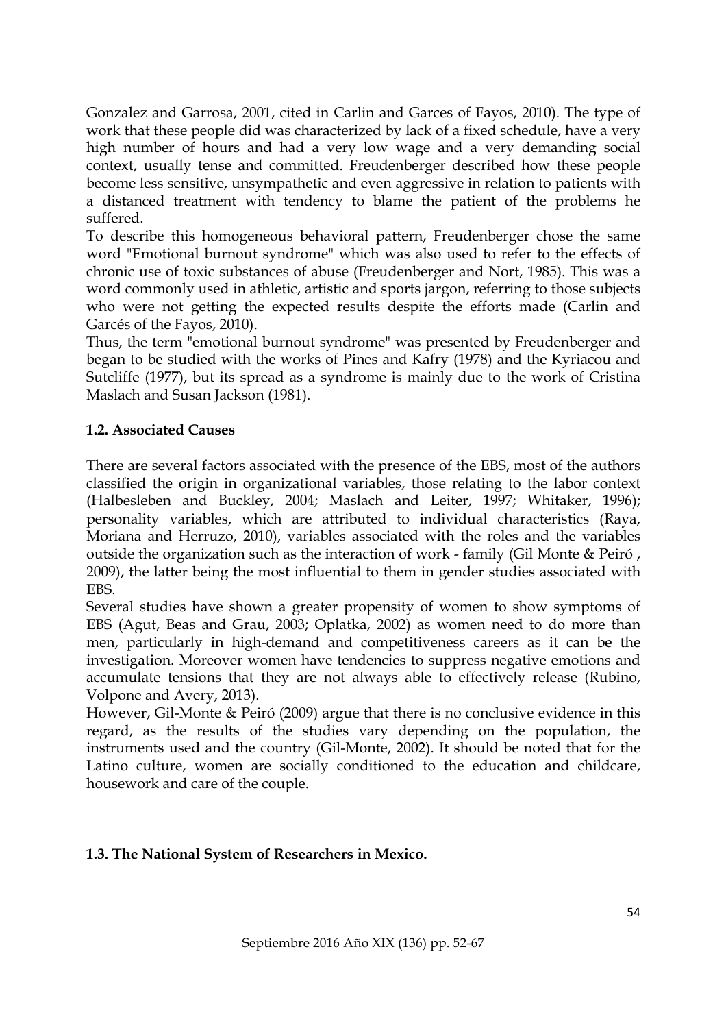Gonzalez and Garrosa, 2001, cited in Carlin and Garces of Fayos, 2010). The type of work that these people did was characterized by lack of a fixed schedule, have a very high number of hours and had a very low wage and a very demanding social context, usually tense and committed. Freudenberger described how these people become less sensitive, unsympathetic and even aggressive in relation to patients with a distanced treatment with tendency to blame the patient of the problems he suffered.

To describe this homogeneous behavioral pattern, Freudenberger chose the same word "Emotional burnout syndrome" which was also used to refer to the effects of chronic use of toxic substances of abuse (Freudenberger and Nort, 1985). This was a word commonly used in athletic, artistic and sports jargon, referring to those subjects who were not getting the expected results despite the efforts made (Carlin and Garcés of the Fayos, 2010).

Thus, the term "emotional burnout syndrome" was presented by Freudenberger and began to be studied with the works of Pines and Kafry (1978) and the Kyriacou and Sutcliffe (1977), but its spread as a syndrome is mainly due to the work of Cristina Maslach and Susan Jackson (1981).

#### **1.2. Associated Causes**

There are several factors associated with the presence of the EBS, most of the authors classified the origin in organizational variables, those relating to the labor context (Halbesleben and Buckley, 2004; Maslach and Leiter, 1997; Whitaker, 1996); personality variables, which are attributed to individual characteristics (Raya, Moriana and Herruzo, 2010), variables associated with the roles and the variables outside the organization such as the interaction of work - family (Gil Monte & Peiró , 2009), the latter being the most influential to them in gender studies associated with EBS.

Several studies have shown a greater propensity of women to show symptoms of EBS (Agut, Beas and Grau, 2003; Oplatka, 2002) as women need to do more than men, particularly in high-demand and competitiveness careers as it can be the investigation. Moreover women have tendencies to suppress negative emotions and accumulate tensions that they are not always able to effectively release (Rubino, Volpone and Avery, 2013).

However, Gil-Monte & Peiró (2009) argue that there is no conclusive evidence in this regard, as the results of the studies vary depending on the population, the instruments used and the country (Gil-Monte, 2002). It should be noted that for the Latino culture, women are socially conditioned to the education and childcare, housework and care of the couple.

#### **1.3. The National System of Researchers in Mexico.**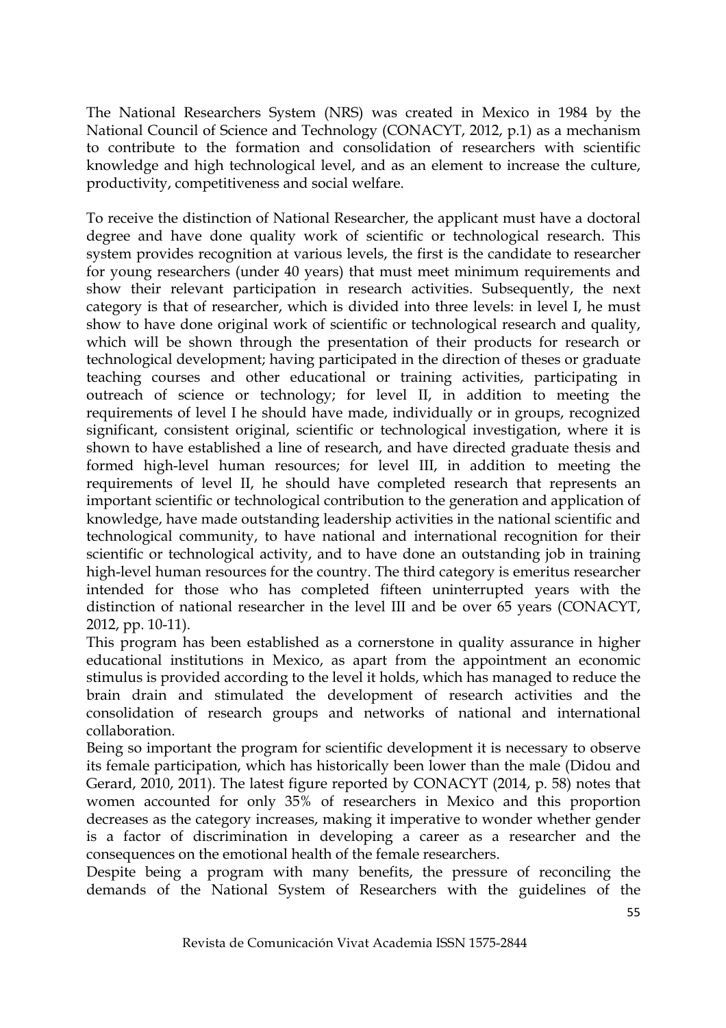The National Researchers System (NRS) was created in Mexico in 1984 by the National Council of Science and Technology (CONACYT, 2012, p.1) as a mechanism to contribute to the formation and consolidation of researchers with scientific knowledge and high technological level, and as an element to increase the culture, productivity, competitiveness and social welfare.

To receive the distinction of National Researcher, the applicant must have a doctoral degree and have done quality work of scientific or technological research. This system provides recognition at various levels, the first is the candidate to researcher for young researchers (under 40 years) that must meet minimum requirements and show their relevant participation in research activities. Subsequently, the next category is that of researcher, which is divided into three levels: in level I, he must show to have done original work of scientific or technological research and quality, which will be shown through the presentation of their products for research or technological development; having participated in the direction of theses or graduate teaching courses and other educational or training activities, participating in outreach of science or technology; for level II, in addition to meeting the requirements of level I he should have made, individually or in groups, recognized significant, consistent original, scientific or technological investigation, where it is shown to have established a line of research, and have directed graduate thesis and formed high-level human resources; for level III, in addition to meeting the requirements of level II, he should have completed research that represents an important scientific or technological contribution to the generation and application of knowledge, have made outstanding leadership activities in the national scientific and technological community, to have national and international recognition for their scientific or technological activity, and to have done an outstanding job in training high-level human resources for the country. The third category is emeritus researcher intended for those who has completed fifteen uninterrupted years with the distinction of national researcher in the level III and be over 65 years (CONACYT, 2012, pp. 10-11).

This program has been established as a cornerstone in quality assurance in higher educational institutions in Mexico, as apart from the appointment an economic stimulus is provided according to the level it holds, which has managed to reduce the brain drain and stimulated the development of research activities and the consolidation of research groups and networks of national and international collaboration.

Being so important the program for scientific development it is necessary to observe its female participation, which has historically been lower than the male (Didou and Gerard, 2010, 2011). The latest figure reported by CONACYT (2014, p. 58) notes that women accounted for only 35% of researchers in Mexico and this proportion decreases as the category increases, making it imperative to wonder whether gender is a factor of discrimination in developing a career as a researcher and the consequences on the emotional health of the female researchers.

Despite being a program with many benefits, the pressure of reconciling the demands of the National System of Researchers with the guidelines of the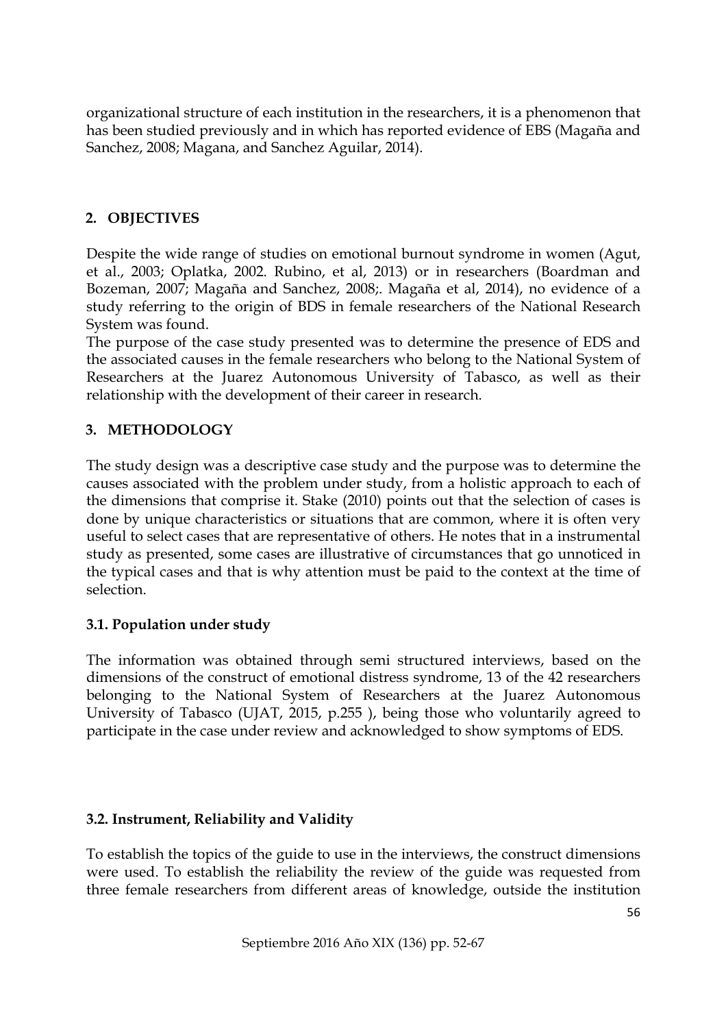organizational structure of each institution in the researchers, it is a phenomenon that has been studied previously and in which has reported evidence of EBS (Magaña and Sanchez, 2008; Magana, and Sanchez Aguilar, 2014).

## **2. OBJECTIVES**

Despite the wide range of studies on emotional burnout syndrome in women (Agut, et al., 2003; Oplatka, 2002. Rubino, et al, 2013) or in researchers (Boardman and Bozeman, 2007; Magaña and Sanchez, 2008;. Magaña et al, 2014), no evidence of a study referring to the origin of BDS in female researchers of the National Research System was found.

The purpose of the case study presented was to determine the presence of EDS and the associated causes in the female researchers who belong to the National System of Researchers at the Juarez Autonomous University of Tabasco, as well as their relationship with the development of their career in research.

## **3. METHODOLOGY**

The study design was a descriptive case study and the purpose was to determine the causes associated with the problem under study, from a holistic approach to each of the dimensions that comprise it. Stake (2010) points out that the selection of cases is done by unique characteristics or situations that are common, where it is often very useful to select cases that are representative of others. He notes that in a instrumental study as presented, some cases are illustrative of circumstances that go unnoticed in the typical cases and that is why attention must be paid to the context at the time of selection.

## **3.1. Population under study**

The information was obtained through semi structured interviews, based on the dimensions of the construct of emotional distress syndrome, 13 of the 42 researchers belonging to the National System of Researchers at the Juarez Autonomous University of Tabasco (UJAT, 2015, p.255 ), being those who voluntarily agreed to participate in the case under review and acknowledged to show symptoms of EDS.

## **3.2. Instrument, Reliability and Validity**

To establish the topics of the guide to use in the interviews, the construct dimensions were used. To establish the reliability the review of the guide was requested from three female researchers from different areas of knowledge, outside the institution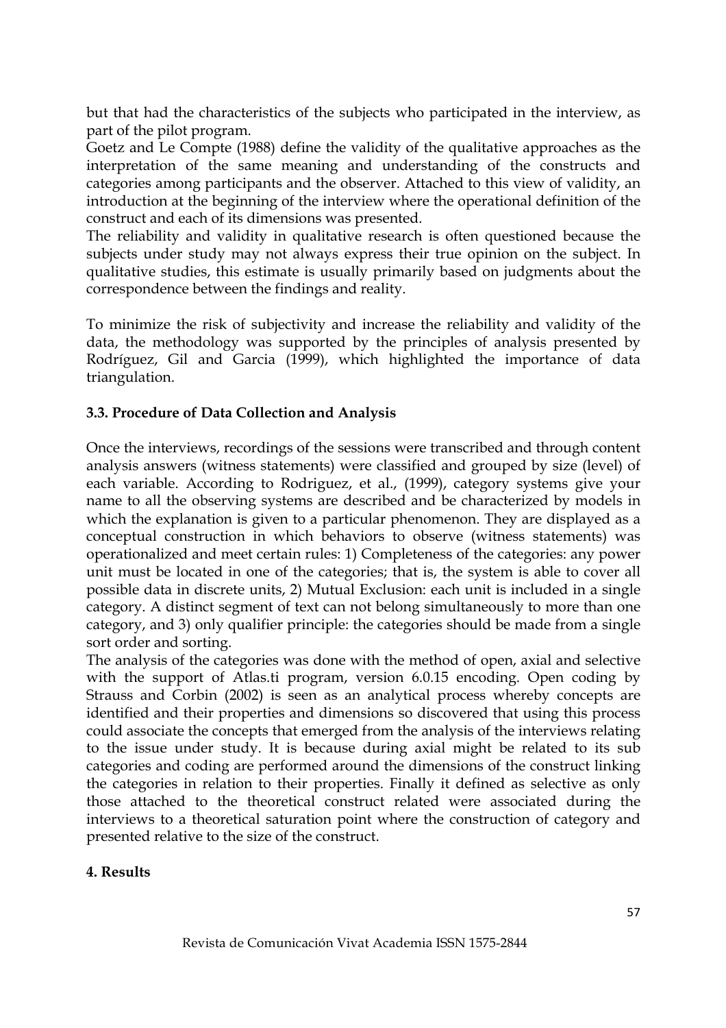but that had the characteristics of the subjects who participated in the interview, as part of the pilot program.

Goetz and Le Compte (1988) define the validity of the qualitative approaches as the interpretation of the same meaning and understanding of the constructs and categories among participants and the observer. Attached to this view of validity, an introduction at the beginning of the interview where the operational definition of the construct and each of its dimensions was presented.

The reliability and validity in qualitative research is often questioned because the subjects under study may not always express their true opinion on the subject. In qualitative studies, this estimate is usually primarily based on judgments about the correspondence between the findings and reality.

To minimize the risk of subjectivity and increase the reliability and validity of the data, the methodology was supported by the principles of analysis presented by Rodríguez, Gil and Garcia (1999), which highlighted the importance of data triangulation.

#### **3.3. Procedure of Data Collection and Analysis**

Once the interviews, recordings of the sessions were transcribed and through content analysis answers (witness statements) were classified and grouped by size (level) of each variable. According to Rodriguez, et al., (1999), category systems give your name to all the observing systems are described and be characterized by models in which the explanation is given to a particular phenomenon. They are displayed as a conceptual construction in which behaviors to observe (witness statements) was operationalized and meet certain rules: 1) Completeness of the categories: any power unit must be located in one of the categories; that is, the system is able to cover all possible data in discrete units, 2) Mutual Exclusion: each unit is included in a single category. A distinct segment of text can not belong simultaneously to more than one category, and 3) only qualifier principle: the categories should be made from a single sort order and sorting.

The analysis of the categories was done with the method of open, axial and selective with the support of Atlas.ti program, version 6.0.15 encoding. Open coding by Strauss and Corbin (2002) is seen as an analytical process whereby concepts are identified and their properties and dimensions so discovered that using this process could associate the concepts that emerged from the analysis of the interviews relating to the issue under study. It is because during axial might be related to its sub categories and coding are performed around the dimensions of the construct linking the categories in relation to their properties. Finally it defined as selective as only those attached to the theoretical construct related were associated during the interviews to a theoretical saturation point where the construction of category and presented relative to the size of the construct.

#### **4. Results**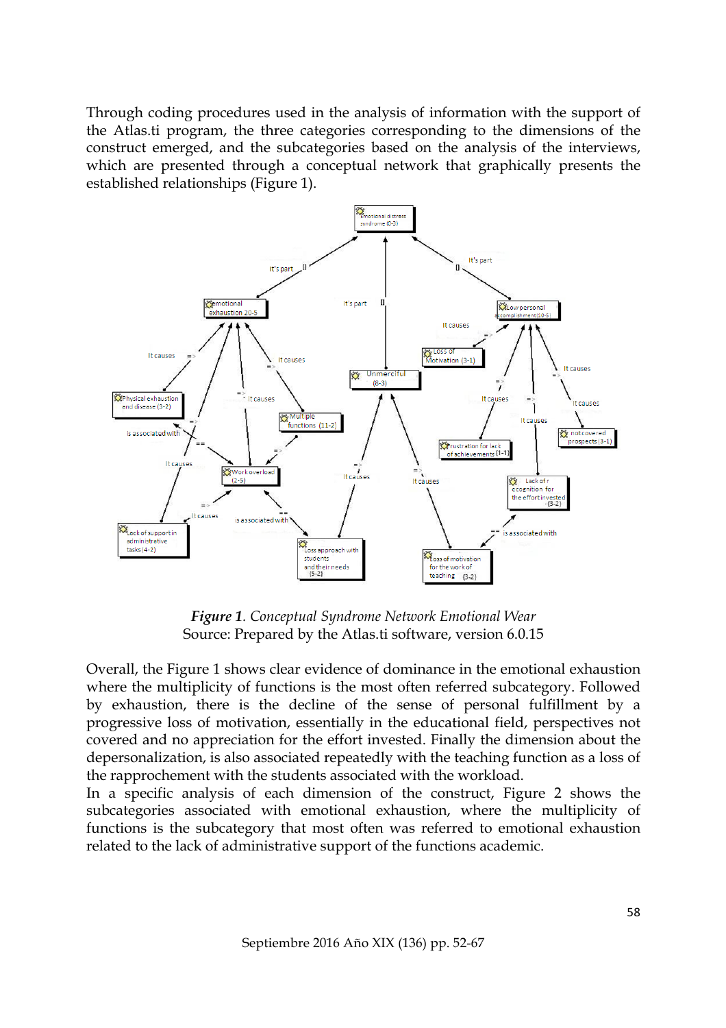Through coding procedures used in the analysis of information with the support of the Atlas.ti program, the three categories corresponding to the dimensions of the construct emerged, and the subcategories based on the analysis of the interviews, which are presented through a conceptual network that graphically presents the established relationships (Figure 1).



*Figure 1. Conceptual Syndrome Network Emotional Wear* Source: Prepared by the Atlas.ti software, version 6.0.15

Overall, the Figure 1 shows clear evidence of dominance in the emotional exhaustion where the multiplicity of functions is the most often referred subcategory. Followed by exhaustion, there is the decline of the sense of personal fulfillment by a progressive loss of motivation, essentially in the educational field, perspectives not covered and no appreciation for the effort invested. Finally the dimension about the depersonalization, is also associated repeatedly with the teaching function as a loss of the rapprochement with the students associated with the workload.

In a specific analysis of each dimension of the construct, Figure 2 shows the subcategories associated with emotional exhaustion, where the multiplicity of functions is the subcategory that most often was referred to emotional exhaustion related to the lack of administrative support of the functions academic.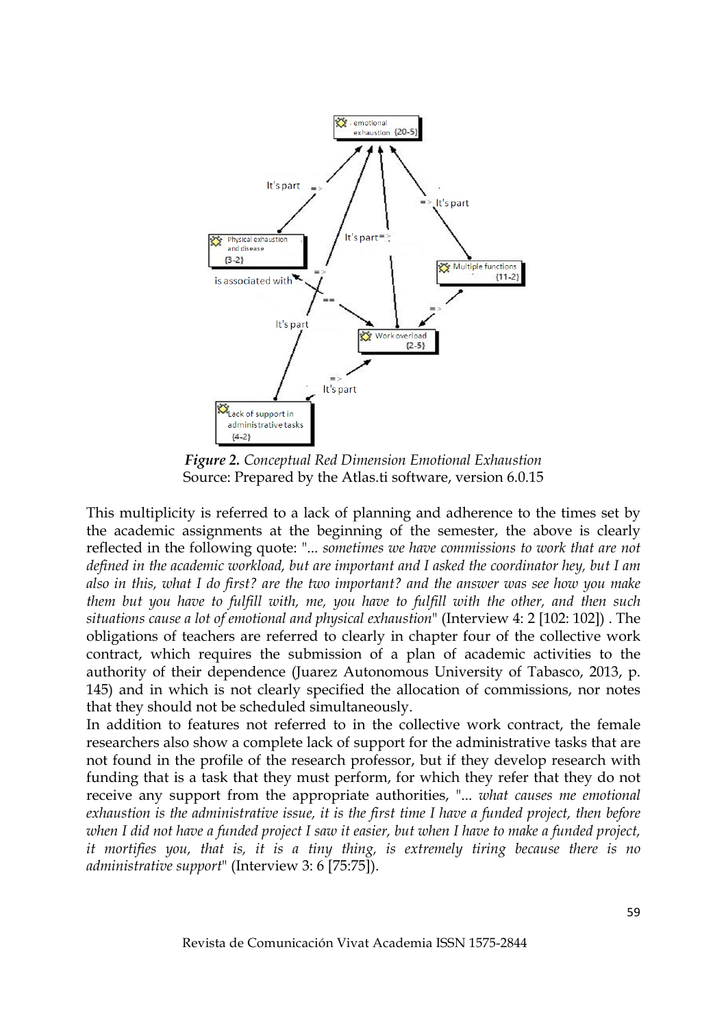

*Figure 2. Conceptual Red Dimension Emotional Exhaustion* Source: Prepared by the Atlas.ti software, version 6.0.15

This multiplicity is referred to a lack of planning and adherence to the times set by the academic assignments at the beginning of the semester, the above is clearly reflected in the following quote: "... *sometimes we have commissions to work that are not defined in the academic workload, but are important and I asked the coordinator hey, but I am also in this, what I do first? are the two important? and the answer was see how you make them but you have to fulfill with, me, you have to fulfill with the other, and then such situations cause a lot of emotional and physical exhaustion*" (Interview 4: 2 [102: 102]) . The obligations of teachers are referred to clearly in chapter four of the collective work contract, which requires the submission of a plan of academic activities to the authority of their dependence (Juarez Autonomous University of Tabasco, 2013, p. 145) and in which is not clearly specified the allocation of commissions, nor notes that they should not be scheduled simultaneously.

In addition to features not referred to in the collective work contract, the female researchers also show a complete lack of support for the administrative tasks that are not found in the profile of the research professor, but if they develop research with funding that is a task that they must perform, for which they refer that they do not receive any support from the appropriate authorities, "... *what causes me emotional exhaustion is the administrative issue, it is the first time I have a funded project, then before when I did not have a funded project I saw it easier, but when I have to make a funded project, it mortifies you, that is, it is a tiny thing, is extremely tiring because there is no administrative support*" (Interview 3: 6 [75:75]).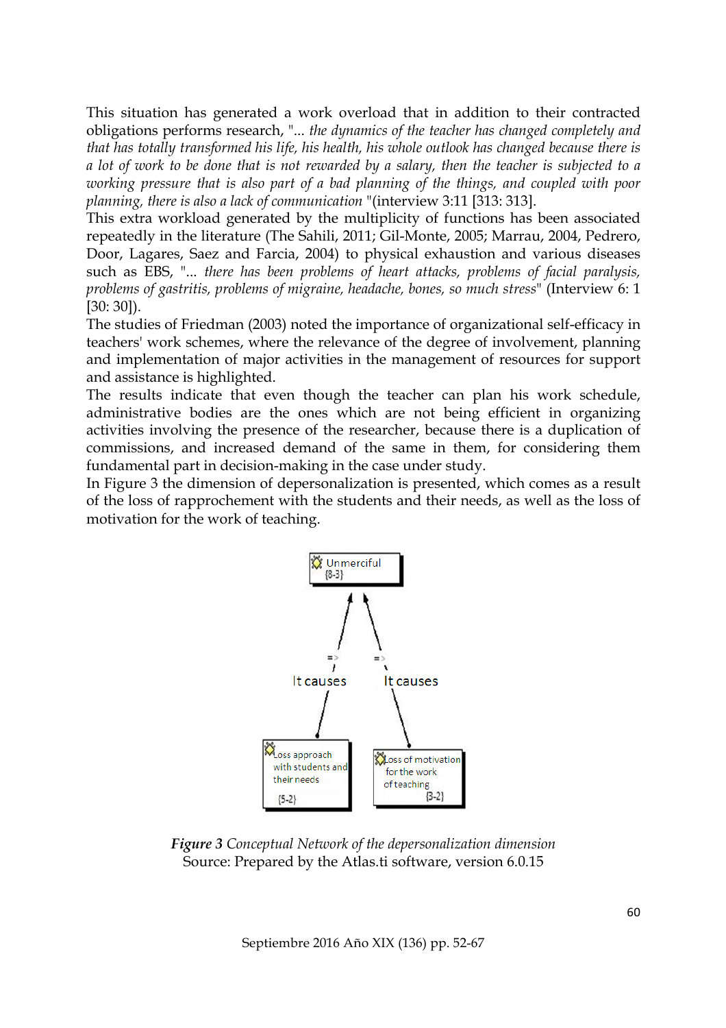This situation has generated a work overload that in addition to their contracted obligations performs research, "... *the dynamics of the teacher has changed completely and that has totally transformed his life, his health, his whole outlook has changed because there is a lot of work to be done that is not rewarded by a salary, then the teacher is subjected to a working pressure that is also part of a bad planning of the things, and coupled with poor planning, there is also a lack of communication* "(interview 3:11 [313: 313].

This extra workload generated by the multiplicity of functions has been associated repeatedly in the literature (The Sahili, 2011; Gil-Monte, 2005; Marrau, 2004, Pedrero, Door, Lagares, Saez and Farcia, 2004) to physical exhaustion and various diseases such as EBS, "... *there has been problems of heart attacks, problems of facial paralysis, problems of gastritis, problems of migraine, headache, bones, so much stress*" (Interview 6: 1 [30: 30]).

The studies of Friedman (2003) noted the importance of organizational self-efficacy in teachers' work schemes, where the relevance of the degree of involvement, planning and implementation of major activities in the management of resources for support and assistance is highlighted.

The results indicate that even though the teacher can plan his work schedule, administrative bodies are the ones which are not being efficient in organizing activities involving the presence of the researcher, because there is a duplication of commissions, and increased demand of the same in them, for considering them fundamental part in decision-making in the case under study.

In Figure 3 the dimension of depersonalization is presented, which comes as a result of the loss of rapprochement with the students and their needs, as well as the loss of motivation for the work of teaching.



*Figure 3 Conceptual Network of the depersonalization dimension* Source: Prepared by the Atlas.ti software, version 6.0.15

Septiembre 2016 Año XIX (136) pp. 52-67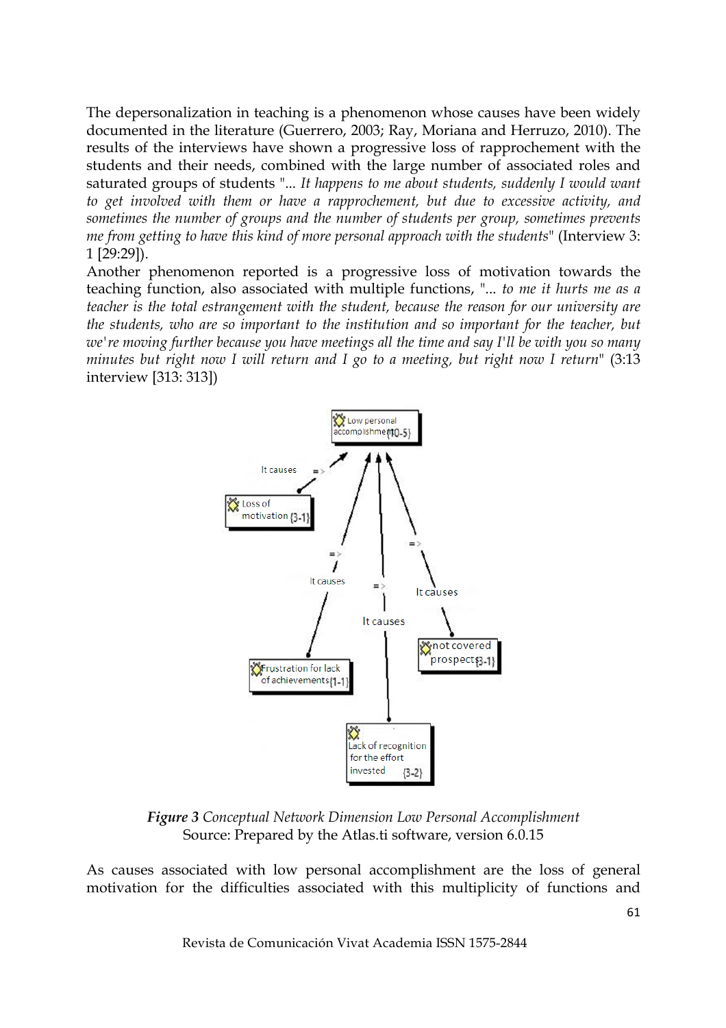The depersonalization in teaching is a phenomenon whose causes have been widely documented in the literature (Guerrero, 2003; Ray, Moriana and Herruzo, 2010). The results of the interviews have shown a progressive loss of rapprochement with the students and their needs, combined with the large number of associated roles and saturated groups of students "... *It happens to me about students, suddenly I would want to get involved with them or have a rapprochement, but due to excessive activity, and sometimes the number of groups and the number of students per group, sometimes prevents me from getting to have this kind of more personal approach with the students*" (Interview 3: 1 [29:29]).

Another phenomenon reported is a progressive loss of motivation towards the teaching function, also associated with multiple functions, "... *to me it hurts me as a teacher is the total estrangement with the student, because the reason for our university are the students, who are so important to the institution and so important for the teacher, but we're moving further because you have meetings all the time and say I'll be with you so many minutes but right now I will return and I go to a meeting, but right now I return*" (3:13 interview [313: 313])



*Figure 3 Conceptual Network Dimension Low Personal Accomplishment* Source: Prepared by the Atlas.ti software, version 6.0.15

As causes associated with low personal accomplishment are the loss of general motivation for the difficulties associated with this multiplicity of functions and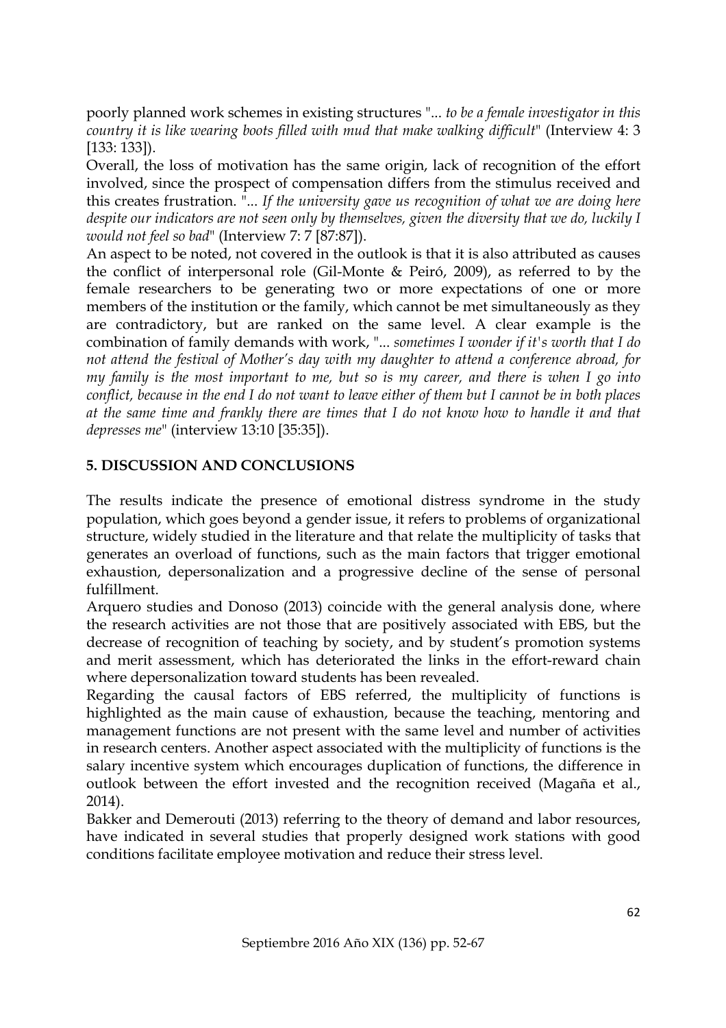poorly planned work schemes in existing structures "... *to be a female investigator in this country it is like wearing boots filled with mud that make walking difficult*" (Interview 4: 3 [133: 133]).

Overall, the loss of motivation has the same origin, lack of recognition of the effort involved, since the prospect of compensation differs from the stimulus received and this creates frustration. "... *If the university gave us recognition of what we are doing here despite our indicators are not seen only by themselves, given the diversity that we do, luckily I would not feel so bad*" (Interview 7: 7 [87:87]).

An aspect to be noted, not covered in the outlook is that it is also attributed as causes the conflict of interpersonal role (Gil-Monte & Peiró, 2009), as referred to by the female researchers to be generating two or more expectations of one or more members of the institution or the family, which cannot be met simultaneously as they are contradictory, but are ranked on the same level. A clear example is the combination of family demands with work, "... *sometimes I wonder if it's worth that I do not attend the festival of Mother's day with my daughter to attend a conference abroad, for my family is the most important to me, but so is my career, and there is when I go into conflict, because in the end I do not want to leave either of them but I cannot be in both places at the same time and frankly there are times that I do not know how to handle it and that depresses me*" (interview 13:10 [35:35]).

## **5. DISCUSSION AND CONCLUSIONS**

The results indicate the presence of emotional distress syndrome in the study population, which goes beyond a gender issue, it refers to problems of organizational structure, widely studied in the literature and that relate the multiplicity of tasks that generates an overload of functions, such as the main factors that trigger emotional exhaustion, depersonalization and a progressive decline of the sense of personal fulfillment.

Arquero studies and Donoso (2013) coincide with the general analysis done, where the research activities are not those that are positively associated with EBS, but the decrease of recognition of teaching by society, and by student's promotion systems and merit assessment, which has deteriorated the links in the effort-reward chain where depersonalization toward students has been revealed.

Regarding the causal factors of EBS referred, the multiplicity of functions is highlighted as the main cause of exhaustion, because the teaching, mentoring and management functions are not present with the same level and number of activities in research centers. Another aspect associated with the multiplicity of functions is the salary incentive system which encourages duplication of functions, the difference in outlook between the effort invested and the recognition received (Magaña et al., 2014).

Bakker and Demerouti (2013) referring to the theory of demand and labor resources, have indicated in several studies that properly designed work stations with good conditions facilitate employee motivation and reduce their stress level.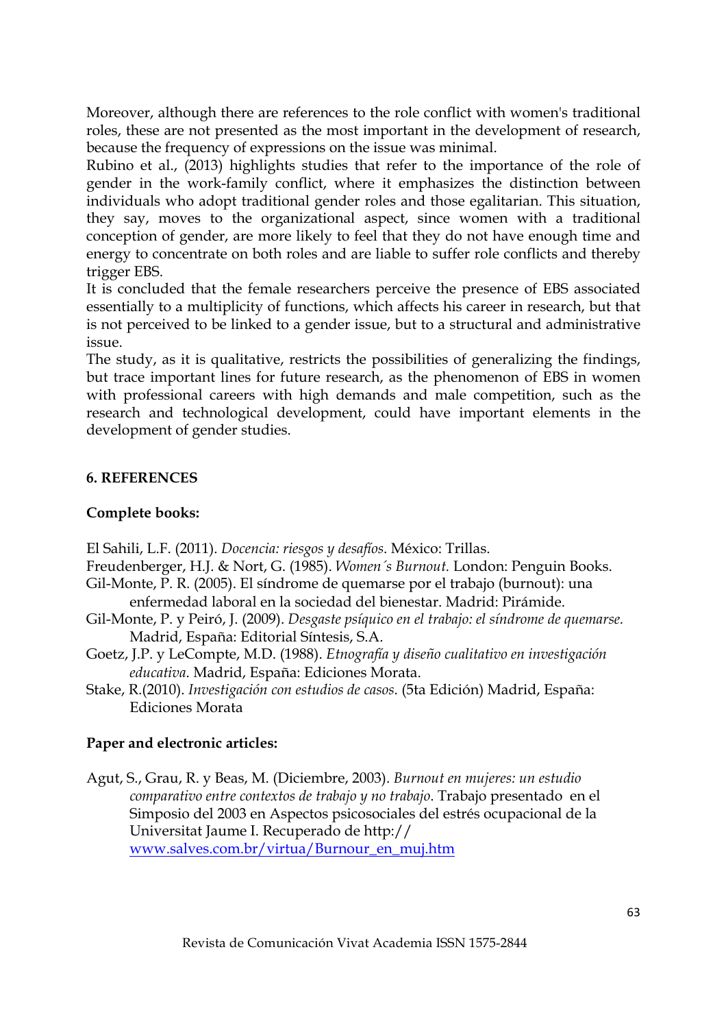Moreover, although there are references to the role conflict with women's traditional roles, these are not presented as the most important in the development of research, because the frequency of expressions on the issue was minimal.

Rubino et al., (2013) highlights studies that refer to the importance of the role of gender in the work-family conflict, where it emphasizes the distinction between individuals who adopt traditional gender roles and those egalitarian. This situation, they say, moves to the organizational aspect, since women with a traditional conception of gender, are more likely to feel that they do not have enough time and energy to concentrate on both roles and are liable to suffer role conflicts and thereby trigger EBS.

It is concluded that the female researchers perceive the presence of EBS associated essentially to a multiplicity of functions, which affects his career in research, but that is not perceived to be linked to a gender issue, but to a structural and administrative issue.

The study, as it is qualitative, restricts the possibilities of generalizing the findings, but trace important lines for future research, as the phenomenon of EBS in women with professional careers with high demands and male competition, such as the research and technological development, could have important elements in the development of gender studies.

## **6. REFERENCES**

## **Complete books:**

El Sahili, L.F. (2011). *Docencia: riesgos y desafíos*. México: Trillas.

Freudenberger, H.J. & Nort, G. (1985). *Women´s Burnout.* London: Penguin Books.

- Gil-Monte, P. R. (2005). El síndrome de quemarse por el trabajo (burnout): una enfermedad laboral en la sociedad del bienestar. Madrid: Pirámide.
- Gil-Monte, P. y Peiró, J. (2009). *Desgaste psíquico en el trabajo: el síndrome de quemarse.* Madrid, España: Editorial Síntesis, S.A.
- Goetz, J.P. y LeCompte, M.D. (1988). *Etnografía y diseño cualitativo en investigación educativa*. Madrid, España: Ediciones Morata.
- Stake, R.(2010). *Investigación con estudios de casos*. (5ta Edición) Madrid, España: Ediciones Morata

## **Paper and electronic articles:**

Agut, S., Grau, R. y Beas, M. (Diciembre, 2003). *Burnout en mujeres: un estudio comparativo entre contextos de trabajo y no trabajo*. Trabajo presentado en el Simposio del 2003 en Aspectos psicosociales del estrés ocupacional de la Universitat Jaume I. Recuperado de http:// www.salves.com.br/virtua/Burnour\_en\_muj.htm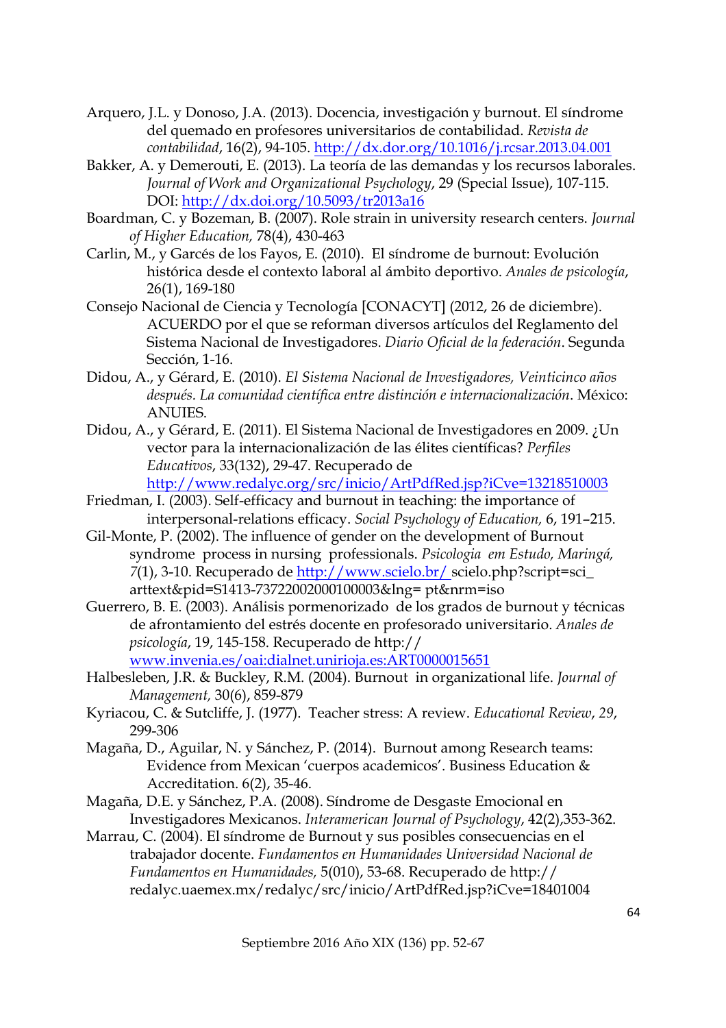- Arquero, J.L. y Donoso, J.A. (2013). Docencia, investigación y burnout. El síndrome del quemado en profesores universitarios de contabilidad. *Revista de contabilidad*, 16(2), 94-105. http://dx.dor.org/10.1016/j.rcsar.2013.04.001
- Bakker, A. y Demerouti, E. (2013). La teoría de las demandas y los recursos laborales. *Journal of Work and Organizational Psychology*, 29 (Special Issue), 107-115. DOI: http://dx.doi.org/10.5093/tr2013a16
- Boardman, C. y Bozeman, B. (2007). Role strain in university research centers. *Journal of Higher Education,* 78(4), 430-463
- Carlin, M., y Garcés de los Fayos, E. (2010). El síndrome de burnout: Evolución histórica desde el contexto laboral al ámbito deportivo. *Anales de psicología*, 26(1), 169-180
- Consejo Nacional de Ciencia y Tecnología [CONACYT] (2012, 26 de diciembre). ACUERDO por el que se reforman diversos artículos del Reglamento del Sistema Nacional de Investigadores. *Diario Oficial de la federación*. Segunda Sección, 1-16.
- Didou, A., y Gérard, E. (2010). *El Sistema Nacional de Investigadores, Veinticinco años después. La comunidad científica entre distinción e internacionalización*. México: ANUIES.
- Didou, A., y Gérard, E. (2011). El Sistema Nacional de Investigadores en 2009. ¿Un vector para la internacionalización de las élites científicas? *Perfiles Educativos*, 33(132), 29-47. Recuperado de http://www.redalyc.org/src/inicio/ArtPdfRed.jsp?iCve=13218510003
- Friedman, I. (2003). Self-efficacy and burnout in teaching: the importance of interpersonal-relations efficacy. *Social Psychology of Education,* 6, 191–215.
- Gil-Monte, P. (2002). The influence of gender on the development of Burnout syndrome process in nursing professionals. *Psicologia em Estudo, Maringá, 7*(1), 3-10. Recuperado de http://www.scielo.br/ scielo.php?script=sci\_ arttext&pid=S1413-73722002000100003&lng= pt&nrm=iso
- Guerrero, B. E. (2003). Análisis pormenorizado de los grados de burnout y técnicas de afrontamiento del estrés docente en profesorado universitario. *Anales de psicología*, 19, 145-158. Recuperado de http:// www.invenia.es/oai:dialnet.unirioja.es:ART0000015651
- Halbesleben, J.R. & Buckley, R.M. (2004). Burnout in organizational life. *Journal of Management,* 30(6), 859-879
- Kyriacou, C. & Sutcliffe, J. (1977). Teacher stress: A review. *Educational Review*, *29*, 299-306
- Magaña, D., Aguilar, N. y Sánchez, P. (2014). Burnout among Research teams: Evidence from Mexican 'cuerpos academicos'. Business Education & Accreditation. 6(2), 35-46.
- Magaña, D.E. y Sánchez, P.A. (2008). Síndrome de Desgaste Emocional en Investigadores Mexicanos. *Interamerican Journal of Psychology*, 42(2),353-362.
- Marrau, C. (2004). El síndrome de Burnout y sus posibles consecuencias en el trabajador docente. *Fundamentos en Humanidades Universidad Nacional de Fundamentos en Humanidades,* 5(010), 53-68. Recuperado de http:// redalyc.uaemex.mx/redalyc/src/inicio/ArtPdfRed.jsp?iCve=18401004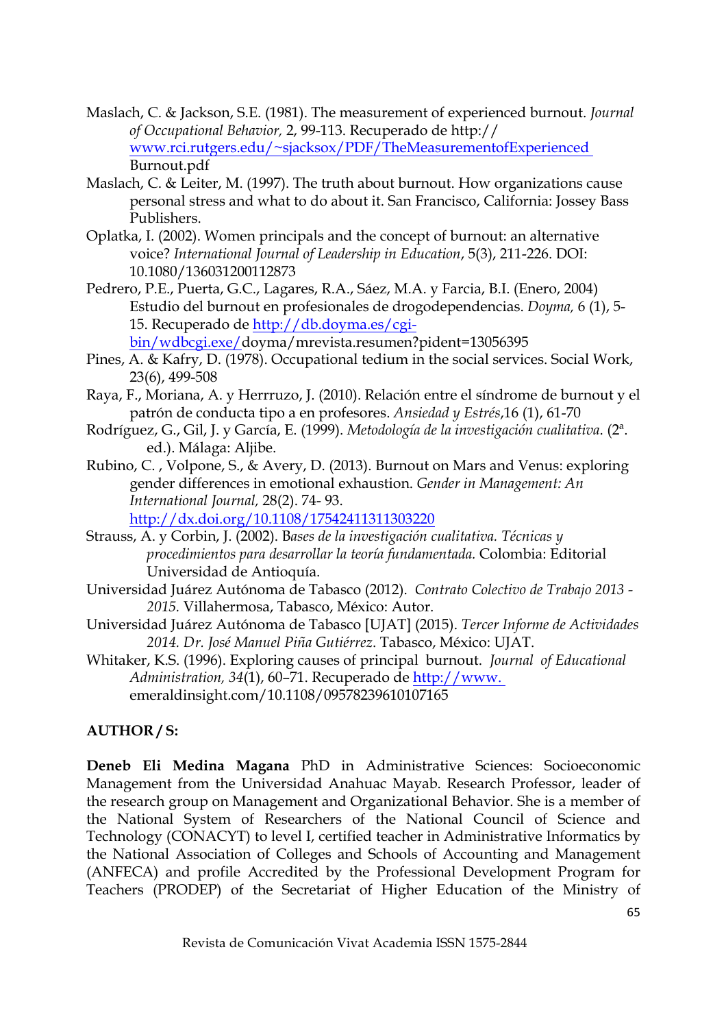- Maslach, C. & Jackson, S.E. (1981). The measurement of experienced burnout. *Journal of Occupational Behavior,* 2, 99-113. Recuperado de http:// www.rci.rutgers.edu/~sjacksox/PDF/TheMeasurementofExperienced Burnout.pdf
- Maslach, C. & Leiter, M. (1997). The truth about burnout. How organizations cause personal stress and what to do about it. San Francisco, California: Jossey Bass Publishers.
- Oplatka, I. (2002). Women principals and the concept of burnout: an alternative voice? *International Journal of Leadership in Education*, 5(3), 211-226. DOI: 10.1080/136031200112873
- Pedrero, P.E., Puerta, G.C., Lagares, R.A., Sáez, M.A. y Farcia, B.I. (Enero, 2004) Estudio del burnout en profesionales de drogodependencias. *Doyma,* 6 (1), 5- 15. Recuperado de http://db.doyma.es/cgibin/wdbcgi.exe/doyma/mrevista.resumen?pident=13056395
- Pines, A. & Kafry, D. (1978). Occupational tedium in the social services. Social Work, 23(6), 499-508
- Raya, F., Moriana, A. y Herrruzo, J. (2010). Relación entre el síndrome de burnout y el patrón de conducta tipo a en profesores. *Ansiedad y Estrés*,16 (1), 61-70
- Rodríguez, G., Gil, J. y García, E. (1999). *Metodología de la investigación cualitativa*. (2ª. ed.). Málaga: Aljibe.
- Rubino, C. , Volpone, S., & Avery, D. (2013). Burnout on Mars and Venus: exploring gender differences in emotional exhaustion. *Gender in Management: An International Journal,* 28(2). 74- 93.

http://dx.doi.org/10.1108/17542411311303220

- Strauss, A. y Corbin, J. (2002). B*ases de la investigación cualitativa. Técnicas y procedimientos para desarrollar la teoría fundamentada.* Colombia: Editorial Universidad de Antioquía.
- Universidad Juárez Autónoma de Tabasco (2012). *Contrato Colectivo de Trabajo 2013 - 2015.* Villahermosa, Tabasco, México: Autor.
- Universidad Juárez Autónoma de Tabasco [UJAT] (2015). *Tercer Informe de Actividades 2014. Dr. José Manuel Piña Gutiérrez*. Tabasco, México: UJAT.
- Whitaker, K.S. (1996). Exploring causes of principal burnout. *Journal of Educational Administration, 34*(1), 60–71. Recuperado de http://www. emeraldinsight.com/10.1108/09578239610107165

## **AUTHOR / S:**

**Deneb Eli Medina Magana** PhD in Administrative Sciences: Socioeconomic Management from the Universidad Anahuac Mayab. Research Professor, leader of the research group on Management and Organizational Behavior. She is a member of the National System of Researchers of the National Council of Science and Technology (CONACYT) to level I, certified teacher in Administrative Informatics by the National Association of Colleges and Schools of Accounting and Management (ANFECA) and profile Accredited by the Professional Development Program for Teachers (PRODEP) of the Secretariat of Higher Education of the Ministry of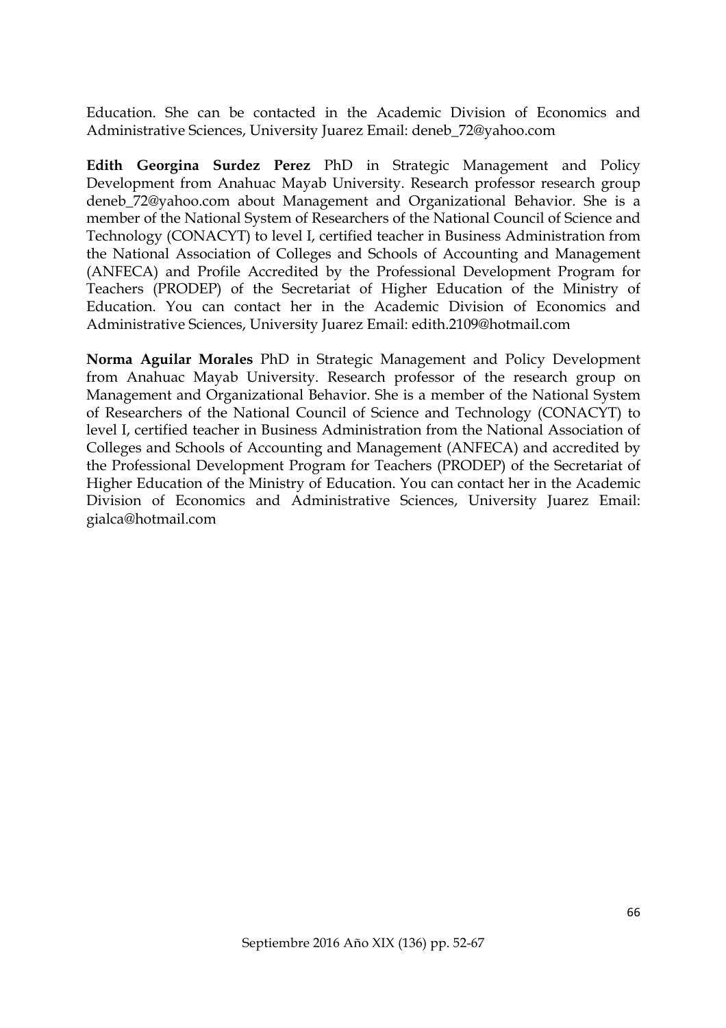Education. She can be contacted in the Academic Division of Economics and Administrative Sciences, University Juarez Email: deneb\_72@yahoo.com

**Edith Georgina Surdez Perez** PhD in Strategic Management and Policy Development from Anahuac Mayab University. Research professor research group deneb\_72@yahoo.com about Management and Organizational Behavior. She is a member of the National System of Researchers of the National Council of Science and Technology (CONACYT) to level I, certified teacher in Business Administration from the National Association of Colleges and Schools of Accounting and Management (ANFECA) and Profile Accredited by the Professional Development Program for Teachers (PRODEP) of the Secretariat of Higher Education of the Ministry of Education. You can contact her in the Academic Division of Economics and Administrative Sciences, University Juarez Email: edith.2109@hotmail.com

**Norma Aguilar Morales** PhD in Strategic Management and Policy Development from Anahuac Mayab University. Research professor of the research group on Management and Organizational Behavior. She is a member of the National System of Researchers of the National Council of Science and Technology (CONACYT) to level I, certified teacher in Business Administration from the National Association of Colleges and Schools of Accounting and Management (ANFECA) and accredited by the Professional Development Program for Teachers (PRODEP) of the Secretariat of Higher Education of the Ministry of Education. You can contact her in the Academic Division of Economics and Administrative Sciences, University Juarez Email: gialca@hotmail.com